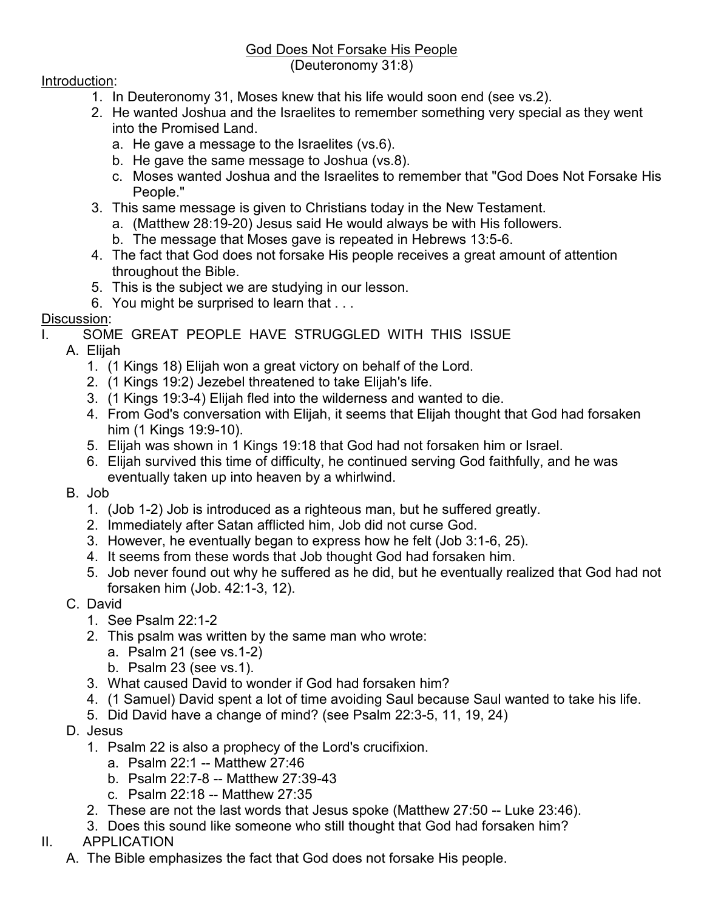#### God Does Not Forsake His People (Deuteronomy 31:8)

### Introduction:

- 1. In Deuteronomy 31, Moses knew that his life would soon end (see vs.2).
- 2. He wanted Joshua and the Israelites to remember something very special as they went into the Promised Land.
	- a. He gave a message to the Israelites (vs.6).
	- b. He gave the same message to Joshua (vs.8).
	- c. Moses wanted Joshua and the Israelites to remember that "God Does Not Forsake His People."
- 3. This same message is given to Christians today in the New Testament.
	- a. (Matthew 28:19-20) Jesus said He would always be with His followers.
	- b. The message that Moses gave is repeated in Hebrews 13:5-6.
- 4. The fact that God does not forsake His people receives a great amount of attention throughout the Bible.
- 5. This is the subject we are studying in our lesson.
- 6. You might be surprised to learn that . . .

## Discussion:

I. SOME GREAT PEOPLE HAVE STRUGGLED WITH THIS ISSUE

- A. Elijah
	- 1. (1 Kings 18) Elijah won a great victory on behalf of the Lord.
	- 2. (1 Kings 19:2) Jezebel threatened to take Elijah's life.
	- 3. (1 Kings 19:3-4) Elijah fled into the wilderness and wanted to die.
	- 4. From God's conversation with Elijah, it seems that Elijah thought that God had forsaken him (1 Kings 19:9-10).
	- 5. Elijah was shown in 1 Kings 19:18 that God had not forsaken him or Israel.
	- 6. Elijah survived this time of difficulty, he continued serving God faithfully, and he was eventually taken up into heaven by a whirlwind.
- B. Job
	- 1. (Job 1-2) Job is introduced as a righteous man, but he suffered greatly.
	- 2. Immediately after Satan afflicted him, Job did not curse God.
	- 3. However, he eventually began to express how he felt (Job 3:1-6, 25).
	- 4. It seems from these words that Job thought God had forsaken him.
	- 5. Job never found out why he suffered as he did, but he eventually realized that God had not forsaken him (Job. 42:1-3, 12).
- C. David
	- 1. See Psalm 22:1-2
	- 2. This psalm was written by the same man who wrote:
		- a. Psalm 21 (see vs.1-2)
		- b. Psalm 23 (see vs.1).
	- 3. What caused David to wonder if God had forsaken him?
	- 4. (1 Samuel) David spent a lot of time avoiding Saul because Saul wanted to take his life.
	- 5. Did David have a change of mind? (see Psalm 22:3-5, 11, 19, 24)
- D. Jesus
	- 1. Psalm 22 is also a prophecy of the Lord's crucifixion.
		- a. Psalm 22:1 -- Matthew 27:46
		- b. Psalm 22:7-8 -- Matthew 27:39-43
		- c. Psalm 22:18 -- Matthew 27:35
	- 2. These are not the last words that Jesus spoke (Matthew 27:50 -- Luke 23:46).
	- 3. Does this sound like someone who still thought that God had forsaken him?

# II. APPLICATION

A. The Bible emphasizes the fact that God does not forsake His people.